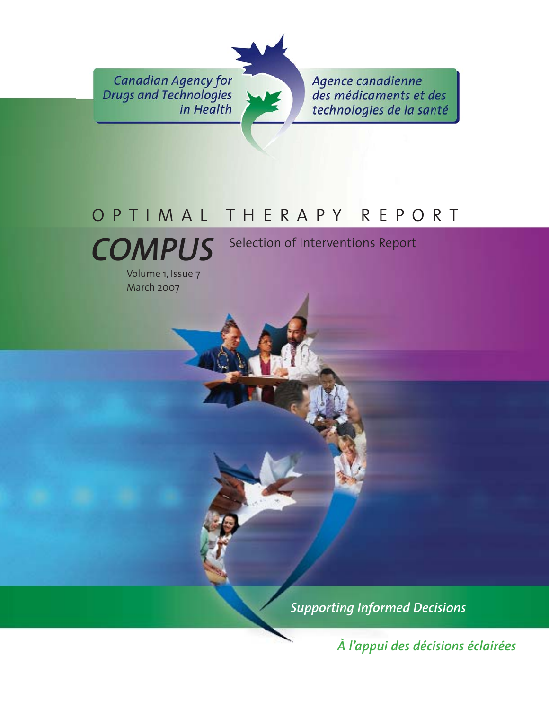**Canadian Agency for Drugs and Technologies** in Health

Agence canadienne des médicaments et des technologies de la santé

# OPTIMAL THERAPY REPORT



Volume 1, Issue 7 March 2007

Selection of Interventions Report

*Supporting Informed Decisions* 

*À l'appui des décisions éclairées*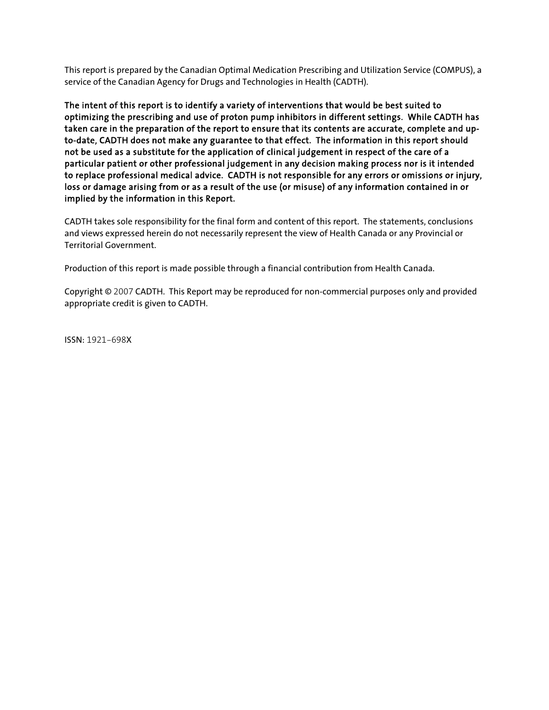This report is prepared by the Canadian Optimal Medication Prescribing and Utilization Service (COMPUS), a service of the Canadian Agency for Drugs and Technologies in Health (CADTH).

The intent of this report is to identify a variety of interventions that would be best suited to optimizing the prescribing and use of proton pump inhibitors in different settings. While CADTH has taken care in the preparation of the report to ensure that its contents are accurate, complete and upto-date, CADTH does not make any guarantee to that effect. The information in this report should not be used as a substitute for the application of clinical judgement in respect of the care of a particular patient or other professional judgement in any decision making process nor is it intended to replace professional medical advice. CADTH is not responsible for any errors or omissions or injury, loss or damage arising from or as a result of the use (or misuse) of any information contained in or implied by the information in this Report.

CADTH takes sole responsibility for the final form and content of this report. The statements, conclusions and views expressed herein do not necessarily represent the view of Health Canada or any Provincial or Territorial Government.

Production of this report is made possible through a financial contribution from Health Canada.

Copyright © 2007 CADTH. This Report may be reproduced for non-commercial purposes only and provided appropriate credit is given to CADTH.

ISSN: 1921-698X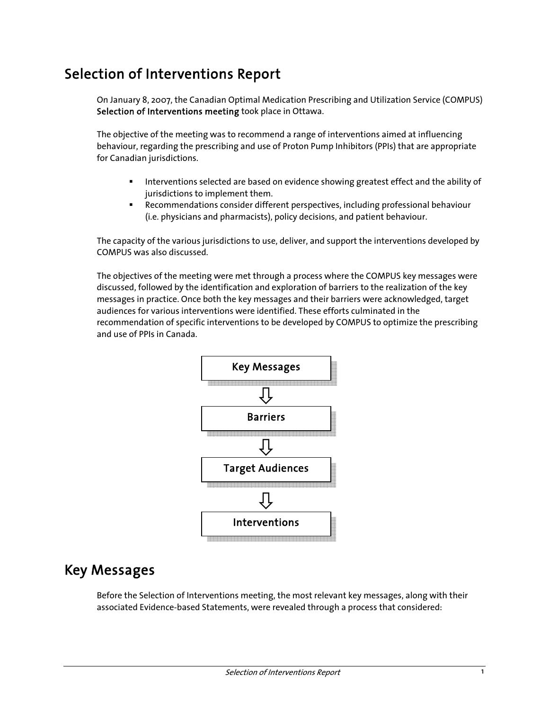# Selection of Interventions Report

On January 8, 2007, the Canadian Optimal Medication Prescribing and Utilization Service (COMPUS) Selection of Interventions meeting took place in Ottawa.

The objective of the meeting was to recommend a range of interventions aimed at influencing behaviour, regarding the prescribing and use of Proton Pump Inhibitors (PPIs) that are appropriate for Canadian jurisdictions.

- **Interventions selected are based on evidence showing greatest effect and the ability of** jurisdictions to implement them.
- Recommendations consider different perspectives, including professional behaviour (i.e. physicians and pharmacists), policy decisions, and patient behaviour.

The capacity of the various jurisdictions to use, deliver, and support the interventions developed by COMPUS was also discussed.

The objectives of the meeting were met through a process where the COMPUS key messages were discussed, followed by the identification and exploration of barriers to the realization of the key messages in practice. Once both the key messages and their barriers were acknowledged, target audiences for various interventions were identified. These efforts culminated in the recommendation of specific interventions to be developed by COMPUS to optimize the prescribing and use of PPIs in Canada.



# Key Messages

Before the Selection of Interventions meeting, the most relevant key messages, along with their associated Evidence-based Statements, were revealed through a process that considered: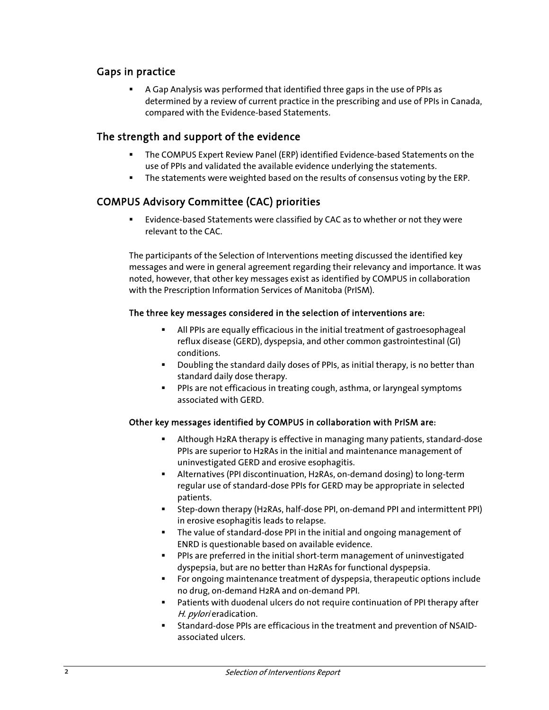### Gaps in practice

 A Gap Analysis was performed that identified three gaps in the use of PPIs as determined by a review of current practice in the prescribing and use of PPIs in Canada, compared with the Evidence-based Statements.

### The strength and support of the evidence

- The COMPUS Expert Review Panel (ERP) identified Evidence-based Statements on the use of PPIs and validated the available evidence underlying the statements.
- The statements were weighted based on the results of consensus voting by the ERP.

### COMPUS Advisory Committee (CAC) priorities

 Evidence-based Statements were classified by CAC as to whether or not they were relevant to the CAC.

The participants of the Selection of Interventions meeting discussed the identified key messages and were in general agreement regarding their relevancy and importance. It was noted, however, that other key messages exist as identified by COMPUS in collaboration with the Prescription Information Services of Manitoba (PrISM).

#### The three key messages considered in the selection of interventions are:

- All PPIs are equally efficacious in the initial treatment of gastroesophageal reflux disease (GERD), dyspepsia, and other common gastrointestinal (GI) conditions.
- **Doubling the standard daily doses of PPIs, as initial therapy, is no better than** standard daily dose therapy.
- **PPIs are not efficacious in treating cough, asthma, or laryngeal symptoms** associated with GERD.

#### Other key messages identified by COMPUS in collaboration with PrISM are:

- Although H2RA therapy is effective in managing many patients, standard-dose PPIs are superior to H2RAs in the initial and maintenance management of uninvestigated GERD and erosive esophagitis.
- Alternatives (PPI discontinuation, H2RAs, on-demand dosing) to long-term regular use of standard-dose PPIs for GERD may be appropriate in selected patients.
- Step-down therapy (H2RAs, half-dose PPI, on-demand PPI and intermittent PPI) in erosive esophagitis leads to relapse.
- The value of standard-dose PPI in the initial and ongoing management of ENRD is questionable based on available evidence.
- PPIs are preferred in the initial short-term management of uninvestigated dyspepsia, but are no better than H2RAs for functional dyspepsia.
- For ongoing maintenance treatment of dyspepsia, therapeutic options include no drug, on-demand H2RA and on-demand PPI.
- Patients with duodenal ulcers do not require continuation of PPI therapy after H. pylori eradication.
- Standard-dose PPIs are efficacious in the treatment and prevention of NSAIDassociated ulcers.